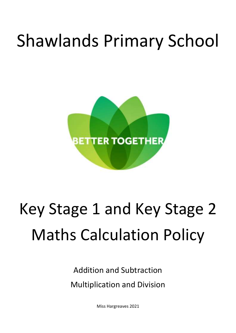## Shawlands Primary School



## Key Stage 1 and Key Stage 2 Maths Calculation Policy

Addition and Subtraction Multiplication and Division

Miss Hargreaves 2021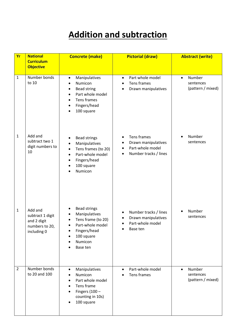## **Addition and subtraction**

| <b>Yr</b>      | <b>National</b><br><b>Curriculum</b>                                        | <b>Concrete (make)</b>                                                                                                                             | <b>Pictorial (draw)</b>                                                                                                             | <b>Abstract (write)</b>                               |  |
|----------------|-----------------------------------------------------------------------------|----------------------------------------------------------------------------------------------------------------------------------------------------|-------------------------------------------------------------------------------------------------------------------------------------|-------------------------------------------------------|--|
|                | <b>Objective</b>                                                            |                                                                                                                                                    |                                                                                                                                     |                                                       |  |
| $\mathbf{1}$   | Number bonds<br>to 10                                                       | Manipulatives<br>$\bullet$<br>Numicon<br><b>Bead string</b><br>Part whole model<br>Tens frames<br>Fingers/head<br>100 square                       | Part whole model<br>$\bullet$<br>Tens frames<br>$\bullet$<br>Drawn manipulatives<br>$\bullet$                                       | Number<br>$\bullet$<br>sentences<br>(pattern / mixed) |  |
| 1              | Add and<br>subtract two 1<br>digit numbers to<br>10                         | <b>Bead strings</b><br>Manipulatives<br>Tens frames (to 20)<br>$\bullet$<br>Part-whole model<br>$\bullet$<br>Fingers/head<br>100 square<br>Numicon | Tens frames<br>$\bullet$<br>Drawn manipulatives<br>$\bullet$<br>Part-whole model<br>$\bullet$<br>Number tracks / lines<br>$\bullet$ | Number<br>sentences                                   |  |
| $\mathbf{1}$   | Add and<br>subtract 1 digit<br>and 2 digit<br>numbers to 20,<br>including 0 | <b>Bead strings</b><br>Manipulatives<br>Tens frame (to 20)<br>Part-whole model<br>Fingers/head<br>100 square<br>Numicon<br>Base ten                | Number tracks / lines<br>٠<br>Drawn manipulatives<br>$\bullet$<br>Part-whole model<br>Base ten                                      | Number<br>sentences                                   |  |
| $\overline{2}$ | Number bonds<br>to 20 and 100                                               | Manipulatives<br>$\bullet$<br>Numicon<br>Part whole model<br>Tens frame<br>Fingers $(100 -$<br>counting in 10s)<br>100 square                      | Part-whole model<br>$\bullet$<br>Tens frames                                                                                        | Number<br>$\bullet$<br>sentences<br>(pattern / mixed) |  |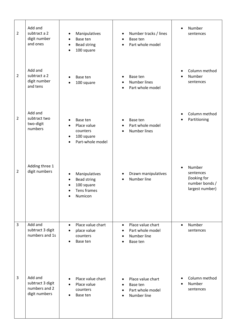| $\overline{2}$ | Add and<br>subtract a 2<br>digit number<br>and ones           | Manipulatives<br>Base ten<br>$\bullet$<br><b>Bead string</b><br>$\bullet$<br>100 square<br>$\bullet$ | Number tracks / lines<br>$\bullet$<br>Base ten<br>$\bullet$<br>Part whole model<br>$\bullet$                         | Number<br>$\bullet$<br>sentences                                                      |
|----------------|---------------------------------------------------------------|------------------------------------------------------------------------------------------------------|----------------------------------------------------------------------------------------------------------------------|---------------------------------------------------------------------------------------|
| $\overline{2}$ | Add and<br>subtract a 2<br>digit number<br>and tens           | Base ten<br>100 square                                                                               | Base ten<br>$\bullet$<br><b>Number lines</b><br>$\bullet$<br>Part whole model<br>$\bullet$                           | Column method<br>Number<br>$\bullet$<br>sentences                                     |
| $\overline{2}$ | Add and<br>subtract two<br>two-digit<br>numbers               | Base ten<br>Place value<br>counters<br>100 square<br>Part-whole model                                | Base ten<br>$\bullet$<br>Part whole model<br>$\bullet$<br>Number lines<br>$\bullet$                                  | Column method<br>Partitioning<br>$\bullet$                                            |
| $\overline{2}$ | Adding three 1<br>digit numbers                               | Manipulatives<br><b>Bead string</b><br>100 square<br>Tens frames<br>Numicon                          | Drawn manipulatives<br>Number line<br>$\bullet$                                                                      | Number<br>$\bullet$<br>sentences<br>(looking for<br>number bonds /<br>largest number) |
| 3              | Add and<br>subtract 3 digit<br>numbers and 1s                 | Place value chart<br>$\bullet$<br>place value<br>counters<br>Base ten<br>$\bullet$                   | Place value chart<br>$\bullet$<br>Part whole model<br>$\bullet$<br>Number line<br>$\bullet$<br>Base ten<br>$\bullet$ | Number<br>$\bullet$<br>sentences                                                      |
| 3              | Add and<br>subtract 3 digit<br>numbers and 2<br>digit numbers | Place value chart<br>Place value<br>counters<br>Base ten                                             | Place value chart<br>$\bullet$<br>Base ten<br>$\bullet$<br>Part whole model<br>$\bullet$<br>Number line<br>$\bullet$ | Column method<br>Number<br>sentences                                                  |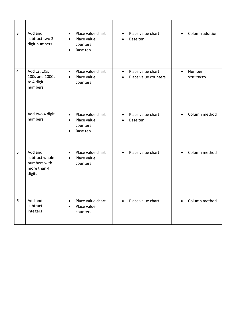| 3              | Add and<br>subtract two 3<br>digit numbers                         | Place value chart<br>Place value<br>counters<br>Base ten  | Place value chart<br>$\bullet$<br>Base ten                          |           | Column addition     |
|----------------|--------------------------------------------------------------------|-----------------------------------------------------------|---------------------------------------------------------------------|-----------|---------------------|
| $\overline{a}$ | Add 1s, 10s,<br>100s and 1000s<br>to 4 digit<br>numbers            | Place value chart<br>$\bullet$<br>Place value<br>counters | Place value chart<br>$\bullet$<br>Place value counters<br>$\bullet$ | $\bullet$ | Number<br>sentences |
|                | Add two 4 digit<br>numbers                                         | Place value chart<br>Place value<br>counters<br>Base ten  | Place value chart<br>$\bullet$<br>Base ten                          |           | Column method       |
| 5              | Add and<br>subtract whole<br>numbers with<br>more than 4<br>digits | Place value chart<br>$\bullet$<br>Place value<br>counters | Place value chart<br>$\bullet$                                      | $\bullet$ | Column method       |
| 6              | Add and<br>subtract<br>integers                                    | Place value chart<br>$\bullet$<br>Place value<br>counters | Place value chart<br>$\bullet$                                      | $\bullet$ | Column method       |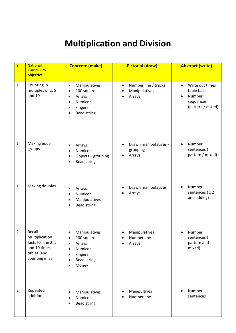## **Multiplication and Division**

| Yr             | <b>National</b><br><b>Curriculum</b><br>objective                                                | <b>Concrete (make)</b>                                                                            | <b>Pictorial (draw)</b>                                                   | <b>Abstract (write)</b>                                                                              |
|----------------|--------------------------------------------------------------------------------------------------|---------------------------------------------------------------------------------------------------|---------------------------------------------------------------------------|------------------------------------------------------------------------------------------------------|
| $\mathbf{1}$   | Counting in<br>multiples of 2, 5<br>and $10$                                                     | Manipulatives<br>$\bullet$<br>100 square<br>Arrays<br>Numicon<br>Fingers<br><b>Bead string</b>    | Number line / tracks<br>$\bullet$<br>Manipulatives<br>$\bullet$<br>Arrays | Write out times<br>$\bullet$<br>table facts<br>Number<br>$\bullet$<br>sequences<br>(pattern / mixed) |
| $\mathbf{1}$   | Making equal<br>groups                                                                           | Arrays<br>Numicon<br>Objects - grouping<br><b>Bead string</b>                                     | Drawn manipulatives -<br>grouping<br>Arrays                               | Number<br>sentences (<br>pattern / mixed)                                                            |
| $\mathbf{1}$   | Making doubles                                                                                   | Arrays<br>Numicon<br>Manipulatives<br><b>Bead string</b>                                          | Drawn manipulatives<br>Arrays                                             | Number<br>sentences (x2<br>and adding)                                                               |
| $\overline{2}$ | Recall<br>multiplication<br>facts for the 2, 5<br>and 10 times<br>tables (and<br>counting in 3s) | Manipulatives<br>100 square<br>Arrays<br>Numicon<br><b>Fingers</b><br><b>Bead string</b><br>Money | Manipulatives<br>$\bullet$<br>Number line<br>Arrays                       | Number<br>sentences (<br>pattern and<br>mixed)                                                       |
| $\overline{2}$ | Repeated<br>addition                                                                             | Manipulatives<br>Numicon<br><b>Bead string</b>                                                    | Manipultives<br>Number line                                               | Number<br>sentences                                                                                  |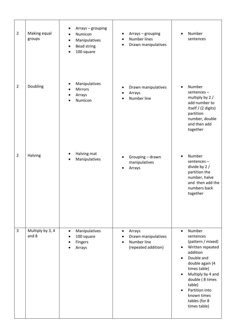| $\overline{2}$ | Making equal<br>groups    | Arrays - grouping<br>Numicon<br>Manipulatives<br>$\bullet$<br><b>Bead string</b><br>100 square | Arrays - grouping<br>٠<br><b>Number lines</b><br>$\bullet$<br>Drawn manipulatives<br>$\bullet$ | Number<br>$\bullet$<br>sentences                                                                                                                                                                                                                                                                               |
|----------------|---------------------------|------------------------------------------------------------------------------------------------|------------------------------------------------------------------------------------------------|----------------------------------------------------------------------------------------------------------------------------------------------------------------------------------------------------------------------------------------------------------------------------------------------------------------|
| $\overline{2}$ | Doubling                  | Manipulatives<br><b>Mirrors</b><br>Arrays<br>Numicon                                           | Drawn manipulatives<br>$\bullet$<br>Arrays<br>٠<br>Number line                                 | Number<br>$\bullet$<br>sentences-<br>multiply by 2 /<br>add number to<br>itself / (2 digits)<br>partition<br>number, double<br>and then add<br>together                                                                                                                                                        |
| $\overline{2}$ | Halving                   | Halving mat<br>Manipulatives                                                                   | Grouping - drawn<br>manipulatives<br>Arrays                                                    | Number<br>$\bullet$<br>sentences-<br>divide by 2 /<br>partition the<br>number, halve<br>and then add the<br>numbers back<br>together                                                                                                                                                                           |
| 3              | Multiply by 3, 4<br>and 8 | Manipulatives<br>$\bullet$<br>100 square<br>Fingers<br>Arrays                                  | Arrays<br>$\bullet$<br>Drawn manipulatives<br>Number line<br>$\bullet$<br>(repeated addition)  | Number<br>$\bullet$<br>sentences<br>(pattern / mixed)<br>Written repeated<br>$\bullet$<br>addition<br>Double and<br>$\bullet$<br>double again (4<br>times table)<br>Multiply by 4 and<br>$\bullet$<br>double (8 times<br>table)<br>Partition into<br>$\bullet$<br>known times<br>tables (for 8<br>times table) |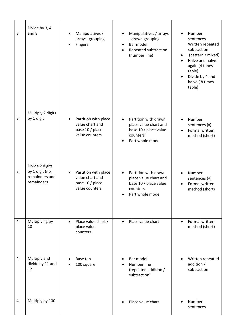| 3              | Divide by 3, 4<br>and 8                                           | Manipulatives /<br>arrays -grouping<br>Fingers                               | Manipulatives / arrays<br>$\bullet$<br>- drawn grouping<br>Bar model<br>$\bullet$<br>Repeated subtraction<br>$\bullet$<br>(number line) | Number<br>sentences<br>Written repeated<br>subtraction<br>(pattern / mixed)<br>$\bullet$<br>Halve and halve<br>again (4 times<br>table)<br>Divide by 4 and<br>$\bullet$<br>halve (8 times<br>table) |
|----------------|-------------------------------------------------------------------|------------------------------------------------------------------------------|-----------------------------------------------------------------------------------------------------------------------------------------|-----------------------------------------------------------------------------------------------------------------------------------------------------------------------------------------------------|
| 3              | Multiply 2 digits<br>by 1 digit                                   | Partition with place<br>value chart and<br>base 10 / place<br>value counters | Partition with drawn<br>place value chart and<br>base 10 / place value<br>counters<br>Part whole model                                  | Number<br>sentences (x)<br>Formal written<br>$\bullet$<br>method (short)                                                                                                                            |
| 3              | Divide 2 digits<br>by 1 digit (no<br>remainders and<br>remainders | Partition with place<br>value chart and<br>base 10 / place<br>value counters | Partition with drawn<br>place value chart and<br>base 10 / place value<br>counters<br>Part whole model                                  | Number<br>$\bullet$<br>sentences $(\div)$<br>Formal written<br>$\bullet$<br>method (short)                                                                                                          |
| $\overline{4}$ | Multiplying by<br>10                                              | Place value chart /<br>$\bullet$<br>place value<br>counters                  | Place value chart<br>$\bullet$                                                                                                          | Formal written<br>$\bullet$<br>method (short)                                                                                                                                                       |
| 4              | Multiply and<br>divide by 11 and<br>12                            | Base ten<br>100 square                                                       | Bar model<br>Number line<br>(repeated addition /<br>subtraction)                                                                        | Written repeated<br>addition /<br>subtraction                                                                                                                                                       |
| 4              | Multiply by 100                                                   |                                                                              | Place value chart                                                                                                                       | Number<br>sentences                                                                                                                                                                                 |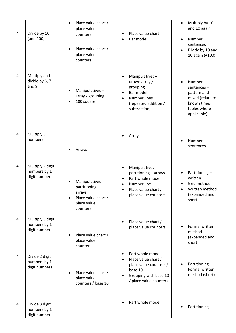| 4 | Divide by 10<br>(and 100)                         | Place value chart /<br>$\bullet$<br>place value<br>counters<br>Place value chart /<br>place value<br>counters | Place value chart<br>Bar model                                                                                                                       | Multiply by 10<br>$\bullet$<br>and 10 again<br>Number<br>$\bullet$<br>sentences<br>Divide by 10 and<br>$\bullet$<br>10 again (÷100) |
|---|---------------------------------------------------|---------------------------------------------------------------------------------------------------------------|------------------------------------------------------------------------------------------------------------------------------------------------------|-------------------------------------------------------------------------------------------------------------------------------------|
| 4 | Multiply and<br>divide by 6, 7<br>and 9           | Manipulatives-<br>array / grouping<br>100 square                                                              | Manipulatives-<br>drawn array /<br>grouping<br>Bar model<br><b>Number lines</b><br>(repeated addition /<br>subtraction)                              | Number<br>$\bullet$<br>sentences-<br>pattern and<br>mixed (relate to<br>known times<br>tables where<br>applicable)                  |
| 4 | Multiply 3<br>numbers                             | Arrays                                                                                                        | Arrays                                                                                                                                               | Number<br>sentences                                                                                                                 |
| 4 | Multiply 2 digit<br>numbers by 1<br>digit numbers | Manipulatives -<br>partitioning-<br>arrays<br>Place value chart /<br>place value<br>counters                  | Manipulatives -<br>$\bullet$<br>partitioning - arrays<br>Part whole model<br>Number line<br>$\bullet$<br>Place value chart /<br>place value counters | Partitioning-<br>$\bullet$<br>written<br>Grid method<br>Written method<br>(expanded and<br>short)                                   |
| 4 | Multiply 3 digit<br>numbers by 1<br>digit numbers | Place value chart /<br>place value<br>counters                                                                | Place value chart /<br>place value counters                                                                                                          | Formal written<br>method<br>(expanded and<br>short)                                                                                 |
| 4 | Divide 2 digit<br>numbers by 1<br>digit numbers   | Place value chart /<br>place value<br>counters / base 10                                                      | Part whole model<br>Place value chart /<br>place value counters /<br>base 10<br>Grouping with base 10<br>/ place value counters                      | Partitioning<br>Formal written<br>method (short)                                                                                    |
| 4 | Divide 3 digit<br>numbers by 1<br>digit numbers   |                                                                                                               | Part whole model                                                                                                                                     | Partitioning                                                                                                                        |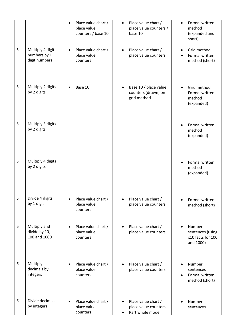|   |                                                   | $\bullet$ | Place value chart /<br>place value<br>counters / base 10 | $\bullet$ | Place value chart /<br>place value counters /<br>base 10        | $\bullet$ | Formal written<br>method<br>(expanded and<br>short)          |
|---|---------------------------------------------------|-----------|----------------------------------------------------------|-----------|-----------------------------------------------------------------|-----------|--------------------------------------------------------------|
| 5 | Multiply 4 digit<br>numbers by 1<br>digit numbers | $\bullet$ | Place value chart /<br>place value<br>counters           | $\bullet$ | Place value chart /<br>place value counters                     | $\bullet$ | Grid method<br>Formal written<br>method (short)              |
| 5 | Multiply 2 digits<br>by 2 digits                  |           | Base 10                                                  |           | Base 10 / place value<br>counters (drawn) on<br>grid method     |           | Grid method<br>Formal written<br>method<br>(expanded)        |
| 5 | Multiply 3 digits<br>by 2 digits                  |           |                                                          |           |                                                                 |           | Formal written<br>method<br>(expanded)                       |
| 5 | Multiply 4 digits<br>by 2 digits                  |           |                                                          |           |                                                                 |           | Formal written<br>method<br>(expanded)                       |
| 5 | Divide 4 digits<br>by 1 digit                     |           | Place value chart /<br>place value<br>counters           | ٠         | Place value chart /<br>place value counters                     | $\bullet$ | Formal written<br>method (short)                             |
| 6 | Multiply and<br>divide by 10,<br>100 and 1000     | $\bullet$ | Place value chart /<br>place value<br>counters           | $\bullet$ | Place value chart /<br>place value counters                     | $\bullet$ | Number<br>sentences (using<br>x10 facts for 100<br>and 1000) |
| 6 | Multiply<br>decimals by<br>integers               |           | Place value chart /<br>place value<br>counters           |           | Place value chart /<br>place value counters                     | $\bullet$ | Number<br>sentences<br>Formal written<br>method (short)      |
| 6 | Divide decimals<br>by integers                    |           | Place value chart /<br>place value<br>counters           |           | Place value chart /<br>place value counters<br>Part whole model |           | Number<br>sentences                                          |